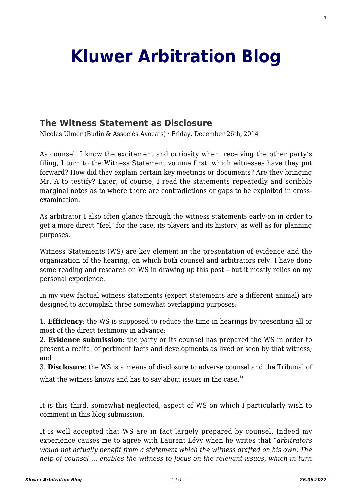# **[Kluwer Arbitration Blog](http://arbitrationblog.kluwerarbitration.com/)**

## **[The Witness Statement as Disclosure](http://arbitrationblog.kluwerarbitration.com/2014/12/26/the-witness-statement-as-disclosure/)**

Nicolas Ulmer (Budin & Associés Avocats) · Friday, December 26th, 2014

As counsel, I know the excitement and curiosity when, receiving the other party's filing, I turn to the Witness Statement volume first: which witnesses have they put forward? How did they explain certain key meetings or documents? Are they bringing Mr. A to testify? Later, of course, I read the statements repeatedly and scribble marginal notes as to where there are contradictions or gaps to be exploited in crossexamination.

As arbitrator I also often glance through the witness statements early-on in order to get a more direct "feel" for the case, its players and its history, as well as for planning purposes.

Witness Statements (WS) are key element in the presentation of evidence and the organization of the hearing, on which both counsel and arbitrators rely. I have done some reading and research on WS in drawing up this post – but it mostly relies on my personal experience.

In my view factual witness statements (expert statements are a different animal) are designed to accomplish three somewhat overlapping purposes:

1. **Efficiency**: the WS is supposed to reduce the time in hearings by presenting all or most of the direct testimony in advance;

2. **Evidence submission**: the party or its counsel has prepared the WS in order to present a recital of pertinent facts and developments as lived or seen by that witness; and

3. **Disclosure**: the WS is a means of disclosure to adverse counsel and the Tribunal of

what the witness knows and has to say about issues in the case.<sup>1)</sup>

It is this third, somewhat neglected, aspect of WS on which I particularly wish to comment in this blog submission.

It is well accepted that WS are in fact largely prepared by counsel. Indeed my experience causes me to agree with Laurent Lévy when he writes that *"arbitrators would not actually benefit from a statement which the witness drafted on his own. The help of counsel … enables the witness to focus on the relevant issues, which in turn*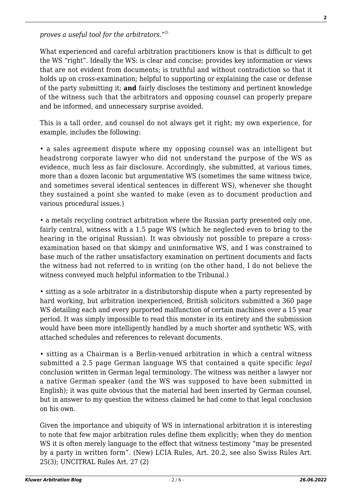*proves a useful tool for the arbitrators."*2)

What experienced and careful arbitration practitioners know is that is difficult to get the WS "right". Ideally the WS: is clear and concise; provides key information or views that are not evident from documents; is truthful and without contradiction so that it holds up on cross-examination; helpful to supporting or explaining the case or defense of the party submitting it; **and** fairly discloses the testimony and pertinent knowledge of the witness such that the arbitrators and opposing counsel can properly prepare and be informed, and unnecessary surprise avoided.

This is a tall order, and counsel do not always get it right; my own experience, for example, includes the following:

• a sales agreement dispute where my opposing counsel was an intelligent but headstrong corporate lawyer who did not understand the purpose of the WS as evidence, much less as fair disclosure. Accordingly, she submitted, at various times, more than a dozen laconic but argumentative WS (sometimes the same witness twice, and sometimes several identical sentences in different WS), whenever she thought they sustained a point she wanted to make (even as to document production and various procedural issues.)

• a metals recycling contract arbitration where the Russian party presented only one, fairly central, witness with a 1.5 page WS (which he neglected even to bring to the hearing in the original Russian). It was obviously not possible to prepare a crossexamination based on that skimpy and uninformative WS, and I was constrained to base much of the rather unsatisfactory examination on pertinent documents and facts the witness had not referred to in writing (on the other hand, I do not believe the witness conveyed much helpful information to the Tribunal.)

• sitting as a sole arbitrator in a distributorship dispute when a party represented by hard working, but arbitration inexperienced, British solicitors submitted a 360 page WS detailing each and every purported malfunction of certain machines over a 15 year period. It was simply impossible to read this monster in its entirety and the submission would have been more intelligently handled by a much shorter and synthetic WS, with attached schedules and references to relevant documents.

• sitting as a Chairman is a Berlin-venued arbitration in which a central witness submitted a 2.5 page German language WS that contained a quite specific *legal* conclusion written in German legal terminology. The witness was neither a lawyer nor a native German speaker (and the WS was supposed to have been submitted in English); it was quite obvious that the material had been inserted by German counsel, but in answer to my question the witness claimed he had come to that legal conclusion on his own.

Given the importance and ubiquity of WS in international arbitration it is interesting to note that few major arbitration rules define them explicitly; when they do mention WS it is often merely language to the effect that witness testimony "may be presented by a party in written form". (New) LCIA Rules, Art. 20.2, see also Swiss Rules Art. 25(3); UNCITRAL Rules Art. 27 (2)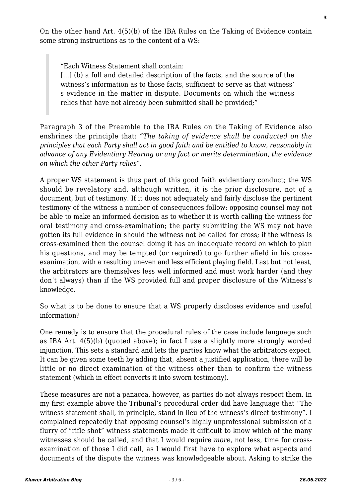On the other hand Art. 4(5)(b) of the IBA Rules on the Taking of Evidence contain some strong instructions as to the content of a WS:

"Each Witness Statement shall contain:

[...] (b) a full and detailed description of the facts, and the source of the witness's information as to those facts, sufficient to serve as that witness' s evidence in the matter in dispute. Documents on which the witness relies that have not already been submitted shall be provided;"

Paragraph 3 of the Preamble to the IBA Rules on the Taking of Evidence also enshrines the principle that: *"The taking of evidence shall be conducted on the principles that each Party shall act in good faith and be entitled to know, reasonably in advance of any Evidentiary Hearing or any fact or merits determination, the evidence on which the other Party relies".*

A proper WS statement is thus part of this good faith evidentiary conduct; the WS should be revelatory and, although written, it is the prior disclosure, not of a document, but of testimony. If it does not adequately and fairly disclose the pertinent testimony of the witness a number of consequences follow: opposing counsel may not be able to make an informed decision as to whether it is worth calling the witness for oral testimony and cross-examination; the party submitting the WS may not have gotten its full evidence in should the witness not be called for cross; if the witness is cross-examined then the counsel doing it has an inadequate record on which to plan his questions, and may be tempted (or required) to go further afield in his crossexanimation, with a resulting uneven and less efficient playing field. Last but not least, the arbitrators are themselves less well informed and must work harder (and they don't always) than if the WS provided full and proper disclosure of the Witness's knowledge.

So what is to be done to ensure that a WS properly discloses evidence and useful information?

One remedy is to ensure that the procedural rules of the case include language such as IBA Art. 4(5)(b) (quoted above); in fact I use a slightly more strongly worded injunction. This sets a standard and lets the parties know what the arbitrators expect. It can be given some teeth by adding that, absent a justified application, there will be little or no direct examination of the witness other than to confirm the witness statement (which in effect converts it into sworn testimony).

These measures are not a panacea, however, as parties do not always respect them. In my first example above the Tribunal's procedural order did have language that "The witness statement shall, in principle, stand in lieu of the witness's direct testimony". I complained repeatedly that opposing counsel's highly unprofessional submission of a flurry of "rifle shot" witness statements made it difficult to know which of the many witnesses should be called, and that I would require *more*, not less, time for crossexamination of those I did call, as I would first have to explore what aspects and documents of the dispute the witness was knowledgeable about. Asking to strike the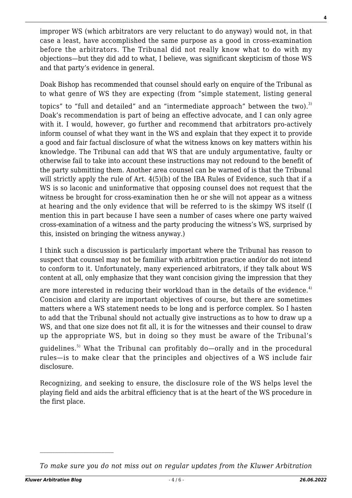improper WS (which arbitrators are very reluctant to do anyway) would not, in that case a least, have accomplished the same purpose as a good in cross-examination before the arbitrators. The Tribunal did not really know what to do with my objections—but they did add to what, I believe, was significant skepticism of those WS and that party's evidence in general.

Doak Bishop has recommended that counsel should early on enquire of the Tribunal as to what genre of WS they are expecting (from "simple statement, listing general topics" to "full and detailed" and an "intermediate approach" between the two). $^{3)}$ Doak's recommendation is part of being an effective advocate, and I can only agree with it. I would, however, go further and recommend that arbitrators pro-actively inform counsel of what they want in the WS and explain that they expect it to provide a good and fair factual disclosure of what the witness knows on key matters within his knowledge. The Tribunal can add that WS that are unduly argumentative, faulty or otherwise fail to take into account these instructions may not redound to the benefit of the party submitting them. Another area counsel can be warned of is that the Tribunal will strictly apply the rule of Art. 4(5)(b) of the IBA Rules of Evidence, such that if a WS is so laconic and uninformative that opposing counsel does not request that the witness be brought for cross-examination then he or she will not appear as a witness at hearing and the only evidence that will be referred to is the skimpy WS itself (I mention this in part because I have seen a number of cases where one party waived cross-examination of a witness and the party producing the witness's WS, surprised by this, insisted on bringing the witness anyway.)

I think such a discussion is particularly important where the Tribunal has reason to suspect that counsel may not be familiar with arbitration practice and/or do not intend to conform to it. Unfortunately, many experienced arbitrators, if they talk about WS content at all, only emphasize that they want concision giving the impression that they

are more interested in reducing their workload than in the details of the evidence.<sup>4)</sup> Concision and clarity are important objectives of course, but there are sometimes matters where a WS statement needs to be long and is perforce complex. So I hasten to add that the Tribunal should not actually give instructions as to how to draw up a WS, and that one size does not fit all, it is for the witnesses and their counsel to draw up the appropriate WS, but in doing so they must be aware of the Tribunal's

guidelines.5) What the Tribunal can profitably do—orally and in the procedural rules—is to make clear that the principles and objectives of a WS include fair disclosure.

Recognizing, and seeking to ensure, the disclosure role of the WS helps level the playing field and aids the arbitral efficiency that is at the heart of the WS procedure in the first place.

*To make sure you do not miss out on regular updates from the Kluwer Arbitration*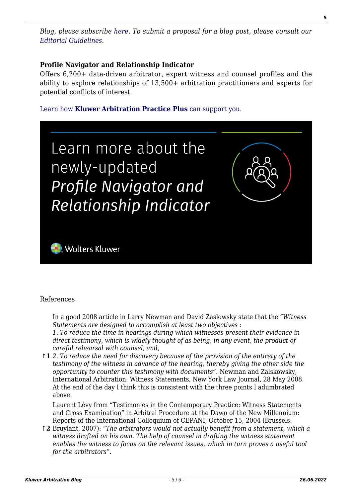### **Profile Navigator and Relationship Indicator**

Offers 6,200+ data-driven arbitrator, expert witness and counsel profiles and the ability to explore relationships of 13,500+ arbitration practitioners and experts for potential conflicts of interest.

#### [Learn how](https://www.wolterskluwer.com/en/solutions/kluwerarbitration/practiceplus?utm_source=arbitrationblog&utm_medium=articleCTA&utm_campaign=article-banner) **[Kluwer Arbitration Practice Plus](https://www.wolterskluwer.com/en/solutions/kluwerarbitration/practiceplus?utm_source=arbitrationblog&utm_medium=articleCTA&utm_campaign=article-banner)** [can support you.](https://www.wolterskluwer.com/en/solutions/kluwerarbitration/practiceplus?utm_source=arbitrationblog&utm_medium=articleCTA&utm_campaign=article-banner)



#### References

In a good 2008 article in Larry Newman and David Zaslowsky state that the *"Witness Statements are designed to accomplish at least two objectives :*

*1. To reduce the time in hearings during which witnesses present their evidence in direct testimony, which is widely thought of as being, in any event, the product of careful rehearsal with counsel; and,*

**↑1** *2. To reduce the need for discovery because of the provision of the entirety of the testimony of the witness in advance of the hearing, thereby giving the other side the opportunity to counter this testimony with documents"*. Newman and Zalskowsky, International Arbitration: Witness Statements, New York Law Journal, 28 May 2008. At the end of the day I think this is consistent with the three points I adumbrated above.

Laurent Lévy from "Testimonies in the Contemporary Practice: Witness Statements and Cross Examination" in Arbitral Procedure at the Dawn of the New Millennium: Reports of the International Colloquium of CEPANI, October 15, 2004 (Brussels:

**↑2** Bruylant, 2007): *"The arbitrators would not actually benefit from a statement, which a witness drafted on his own. The help of counsel in drafting the witness statement enables the witness to focus on the relevant issues, which in turn proves a useful tool for the arbitrators"*.

**5**